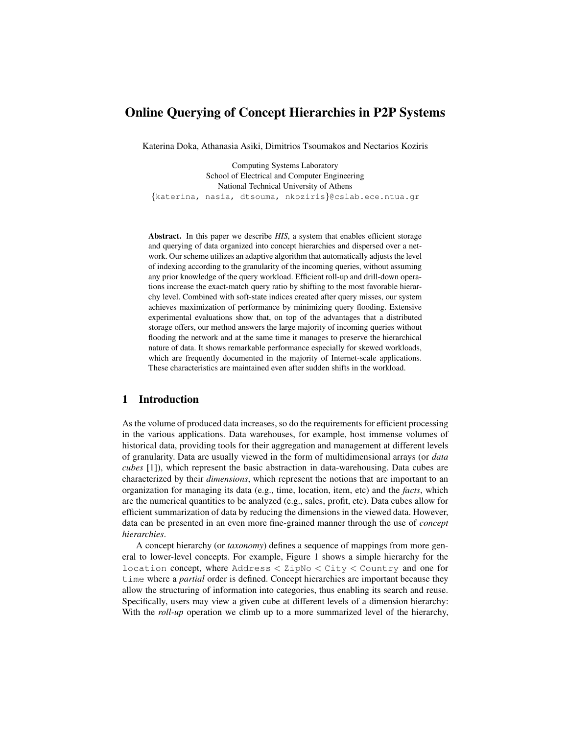# Online Querying of Concept Hierarchies in P2P Systems

Katerina Doka, Athanasia Asiki, Dimitrios Tsoumakos and Nectarios Koziris

Computing Systems Laboratory School of Electrical and Computer Engineering National Technical University of Athens *{*katerina, nasia, dtsouma, nkoziris*}*@cslab.ece.ntua.gr

Abstract. In this paper we describe *HIS*, a system that enables efficient storage and querying of data organized into concept hierarchies and dispersed over a network. Our scheme utilizes an adaptive algorithm that automatically adjusts the level of indexing according to the granularity of the incoming queries, without assuming any prior knowledge of the query workload. Efficient roll-up and drill-down operations increase the exact-match query ratio by shifting to the most favorable hierarchy level. Combined with soft-state indices created after query misses, our system achieves maximization of performance by minimizing query flooding. Extensive experimental evaluations show that, on top of the advantages that a distributed storage offers, our method answers the large majority of incoming queries without flooding the network and at the same time it manages to preserve the hierarchical nature of data. It shows remarkable performance especially for skewed workloads, which are frequently documented in the majority of Internet-scale applications. These characteristics are maintained even after sudden shifts in the workload.

# 1 Introduction

As the volume of produced data increases, so do the requirements for efficient processing in the various applications. Data warehouses, for example, host immense volumes of historical data, providing tools for their aggregation and management at different levels of granularity. Data are usually viewed in the form of multidimensional arrays (or *data cubes* [1]), which represent the basic abstraction in data-warehousing. Data cubes are characterized by their *dimensions*, which represent the notions that are important to an organization for managing its data (e.g., time, location, item, etc) and the *facts*, which are the numerical quantities to be analyzed (e.g., sales, profit, etc). Data cubes allow for efficient summarization of data by reducing the dimensions in the viewed data. However, data can be presented in an even more fine-grained manner through the use of *concept hierarchies*.

A concept hierarchy (or *taxonomy*) defines a sequence of mappings from more general to lower-level concepts. For example, Figure 1 shows a simple hierarchy for the location concept, where  $Address < ZipNo < City < Country$  and one for time where a *partial* order is defined. Concept hierarchies are important because they allow the structuring of information into categories, thus enabling its search and reuse. Specifically, users may view a given cube at different levels of a dimension hierarchy: With the *roll-up* operation we climb up to a more summarized level of the hierarchy,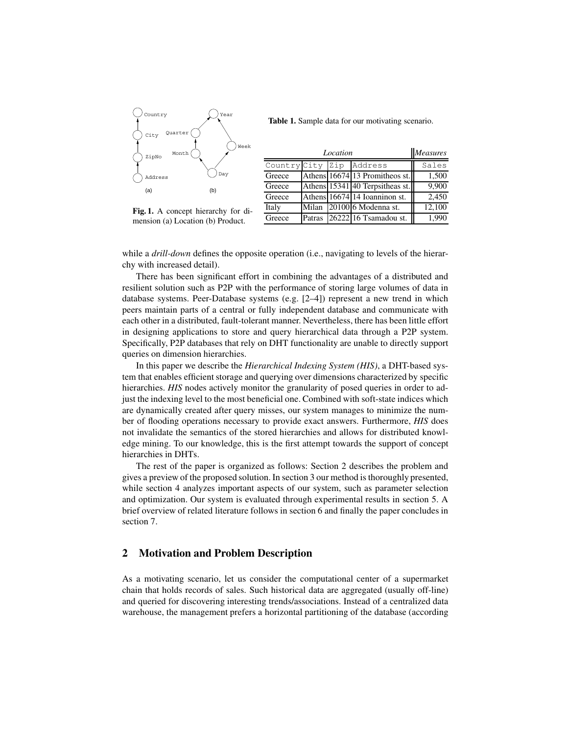

Fig. 1. A concept hierarchy for dimension (a) Location (b) Product.

Table 1. Sample data for our motivating scenario.

| Location     |        |     |                                 | <b>Measures</b> |
|--------------|--------|-----|---------------------------------|-----------------|
| Country City |        | Zip | Address                         | Sales           |
| Greece       |        |     | Athens 16674 13 Promitheos st.  | 1,500           |
| Greece       |        |     | Athens 15341 40 Terpsitheas st. | 9,900           |
| Greece       |        |     | Athens 16674 14 Ioanninon st.   | 2,450           |
| Italy        | Milan  |     | 20100 6 Modenna st.             | 12,100          |
| Greece       | Patras |     | 26222 16 Tsamadou st.           | 1,990           |

while a *drill-down* defines the opposite operation (i.e., navigating to levels of the hierarchy with increased detail).

There has been significant effort in combining the advantages of a distributed and resilient solution such as P2P with the performance of storing large volumes of data in database systems. Peer-Database systems (e.g. [2–4]) represent a new trend in which peers maintain parts of a central or fully independent database and communicate with each other in a distributed, fault-tolerant manner. Nevertheless, there has been little effort in designing applications to store and query hierarchical data through a P2P system. Specifically, P2P databases that rely on DHT functionality are unable to directly support queries on dimension hierarchies.

In this paper we describe the *Hierarchical Indexing System (HIS)*, a DHT-based system that enables efficient storage and querying over dimensions characterized by specific hierarchies. *HIS* nodes actively monitor the granularity of posed queries in order to adjust the indexing level to the most beneficial one. Combined with soft-state indices which are dynamically created after query misses, our system manages to minimize the number of flooding operations necessary to provide exact answers. Furthermore, *HIS* does not invalidate the semantics of the stored hierarchies and allows for distributed knowledge mining. To our knowledge, this is the first attempt towards the support of concept hierarchies in DHTs.

The rest of the paper is organized as follows: Section 2 describes the problem and gives a preview of the proposed solution. In section 3 our method is thoroughly presented, while section 4 analyzes important aspects of our system, such as parameter selection and optimization. Our system is evaluated through experimental results in section 5. A brief overview of related literature follows in section 6 and finally the paper concludes in section 7.

# 2 Motivation and Problem Description

As a motivating scenario, let us consider the computational center of a supermarket chain that holds records of sales. Such historical data are aggregated (usually off-line) and queried for discovering interesting trends/associations. Instead of a centralized data warehouse, the management prefers a horizontal partitioning of the database (according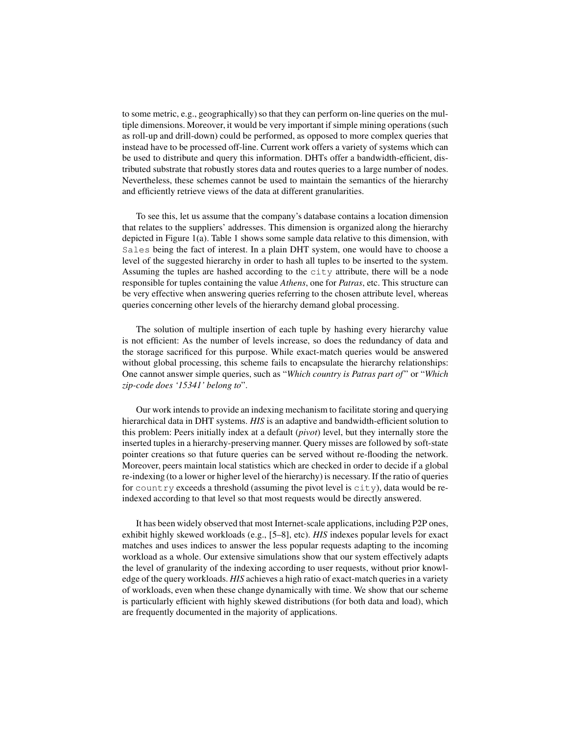to some metric, e.g., geographically) so that they can perform on-line queries on the multiple dimensions. Moreover, it would be very important if simple mining operations (such as roll-up and drill-down) could be performed, as opposed to more complex queries that instead have to be processed off-line. Current work offers a variety of systems which can be used to distribute and query this information. DHTs offer a bandwidth-efficient, distributed substrate that robustly stores data and routes queries to a large number of nodes. Nevertheless, these schemes cannot be used to maintain the semantics of the hierarchy and efficiently retrieve views of the data at different granularities.

To see this, let us assume that the company's database contains a location dimension that relates to the suppliers' addresses. This dimension is organized along the hierarchy depicted in Figure 1(a). Table 1 shows some sample data relative to this dimension, with Sales being the fact of interest. In a plain DHT system, one would have to choose a level of the suggested hierarchy in order to hash all tuples to be inserted to the system. Assuming the tuples are hashed according to the city attribute, there will be a node responsible for tuples containing the value *Athens*, one for *Patras*, etc. This structure can be very effective when answering queries referring to the chosen attribute level, whereas queries concerning other levels of the hierarchy demand global processing.

The solution of multiple insertion of each tuple by hashing every hierarchy value is not efficient: As the number of levels increase, so does the redundancy of data and the storage sacrificed for this purpose. While exact-match queries would be answered without global processing, this scheme fails to encapsulate the hierarchy relationships: One cannot answer simple queries, such as "*Which country is Patras part of* " or "*Which zip-code does '15341' belong to*".

Our work intends to provide an indexing mechanism to facilitate storing and querying hierarchical data in DHT systems. *HIS* is an adaptive and bandwidth-efficient solution to this problem: Peers initially index at a default (*pivot*) level, but they internally store the inserted tuples in a hierarchy-preserving manner. Query misses are followed by soft-state pointer creations so that future queries can be served without re-flooding the network. Moreover, peers maintain local statistics which are checked in order to decide if a global re-indexing (to a lower or higher level of the hierarchy) is necessary. If the ratio of queries for country exceeds a threshold (assuming the pivot level is  $city$ ), data would be reindexed according to that level so that most requests would be directly answered.

It has been widely observed that most Internet-scale applications, including P2P ones, exhibit highly skewed workloads (e.g., [5–8], etc). *HIS* indexes popular levels for exact matches and uses indices to answer the less popular requests adapting to the incoming workload as a whole. Our extensive simulations show that our system effectively adapts the level of granularity of the indexing according to user requests, without prior knowledge of the query workloads. *HIS* achieves a high ratio of exact-match queries in a variety of workloads, even when these change dynamically with time. We show that our scheme is particularly efficient with highly skewed distributions (for both data and load), which are frequently documented in the majority of applications.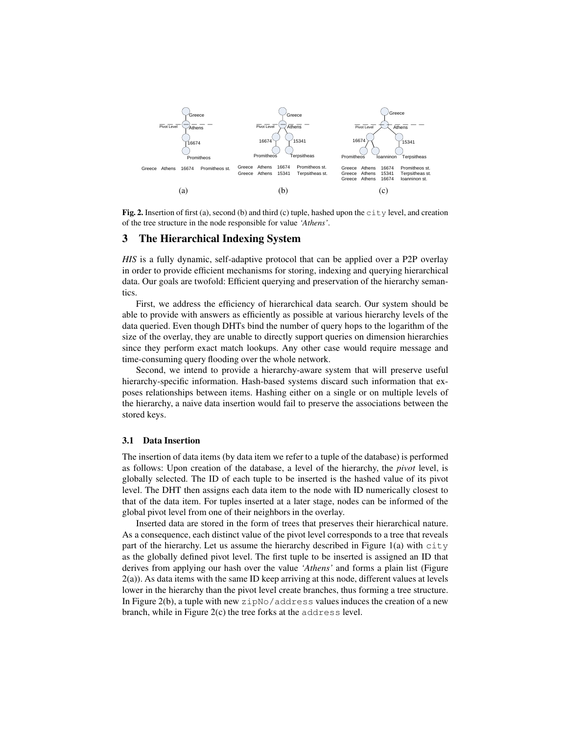

Fig. 2. Insertion of first (a), second (b) and third (c) tuple, hashed upon the  $\text{city}$  level, and creation of the tree structure in the node responsible for value *'Athens'*.

# 3 The Hierarchical Indexing System

*HIS* is a fully dynamic, self-adaptive protocol that can be applied over a P2P overlay in order to provide efficient mechanisms for storing, indexing and querying hierarchical data. Our goals are twofold: Efficient querying and preservation of the hierarchy semantics.

First, we address the efficiency of hierarchical data search. Our system should be able to provide with answers as efficiently as possible at various hierarchy levels of the data queried. Even though DHTs bind the number of query hops to the logarithm of the size of the overlay, they are unable to directly support queries on dimension hierarchies since they perform exact match lookups. Any other case would require message and time-consuming query flooding over the whole network.

Second, we intend to provide a hierarchy-aware system that will preserve useful hierarchy-specific information. Hash-based systems discard such information that exposes relationships between items. Hashing either on a single or on multiple levels of the hierarchy, a naive data insertion would fail to preserve the associations between the stored keys.

#### 3.1 Data Insertion

The insertion of data items (by data item we refer to a tuple of the database) is performed as follows: Upon creation of the database, a level of the hierarchy, the *pivot* level, is globally selected. The ID of each tuple to be inserted is the hashed value of its pivot level. The DHT then assigns each data item to the node with ID numerically closest to that of the data item. For tuples inserted at a later stage, nodes can be informed of the global pivot level from one of their neighbors in the overlay.

Inserted data are stored in the form of trees that preserves their hierarchical nature. As a consequence, each distinct value of the pivot level corresponds to a tree that reveals part of the hierarchy. Let us assume the hierarchy described in Figure 1(a) with  $city$ as the globally defined pivot level. The first tuple to be inserted is assigned an ID that derives from applying our hash over the value *'Athens'* and forms a plain list (Figure 2(a)). As data items with the same ID keep arriving at this node, different values at levels lower in the hierarchy than the pivot level create branches, thus forming a tree structure. In Figure 2(b), a tuple with new  $zipNo/dddress$  values induces the creation of a new branch, while in Figure 2(c) the tree forks at the address level.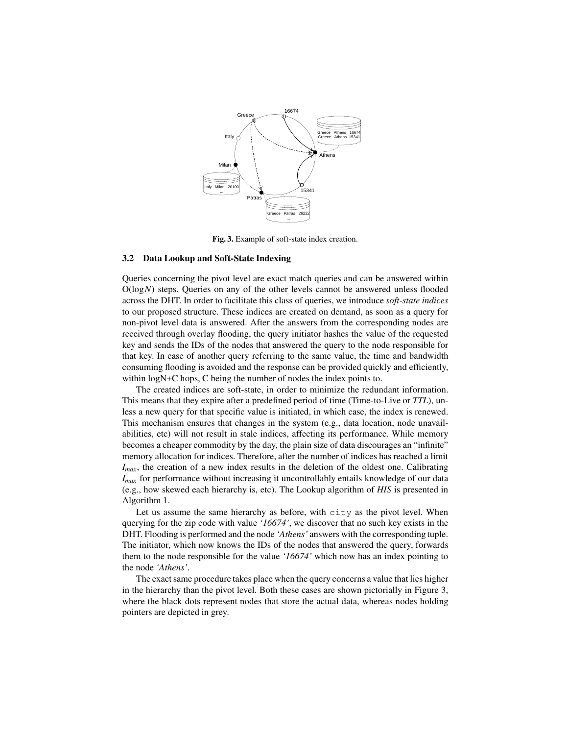

Fig. 3. Example of soft-state index creation.

#### 3.2 Data Lookup and Soft-State Indexing

Queries concerning the pivot level are exact match queries and can be answered within O(log*N*) steps. Queries on any of the other levels cannot be answered unless flooded across the DHT. In order to facilitate this class of queries, we introduce *soft-state indices* to our proposed structure. These indices are created on demand, as soon as a query for non-pivot level data is answered. After the answers from the corresponding nodes are received through overlay flooding, the query initiator hashes the value of the requested key and sends the IDs of the nodes that answered the query to the node responsible for that key. In case of another query referring to the same value, the time and bandwidth consuming flooding is avoided and the response can be provided quickly and efficiently, within logN+C hops, C being the number of nodes the index points to.

The created indices are soft-state, in order to minimize the redundant information. This means that they expire after a predefined period of time (Time-to-Live or *TTL*), unless a new query for that specific value is initiated, in which case, the index is renewed. This mechanism ensures that changes in the system (e.g., data location, node unavailabilities, etc) will not result in stale indices, affecting its performance. While memory becomes a cheaper commodity by the day, the plain size of data discourages an "infinite" memory allocation for indices. Therefore, after the number of indices has reached a limit *Imax*, the creation of a new index results in the deletion of the oldest one. Calibrating *Imax* for performance without increasing it uncontrollably entails knowledge of our data (e.g., how skewed each hierarchy is, etc). The Lookup algorithm of *HIS* is presented in Algorithm 1.

Let us assume the same hierarchy as before, with  $\text{city}$  as the pivot level. When querying for the zip code with value *'16674'*, we discover that no such key exists in the DHT. Flooding is performed and the node *'Athens'* answers with the corresponding tuple. The initiator, which now knows the IDs of the nodes that answered the query, forwards them to the node responsible for the value *'16674'* which now has an index pointing to the node *'Athens'*.

The exact same procedure takes place when the query concerns a value that lies higher in the hierarchy than the pivot level. Both these cases are shown pictorially in Figure 3, where the black dots represent nodes that store the actual data, whereas nodes holding pointers are depicted in grey.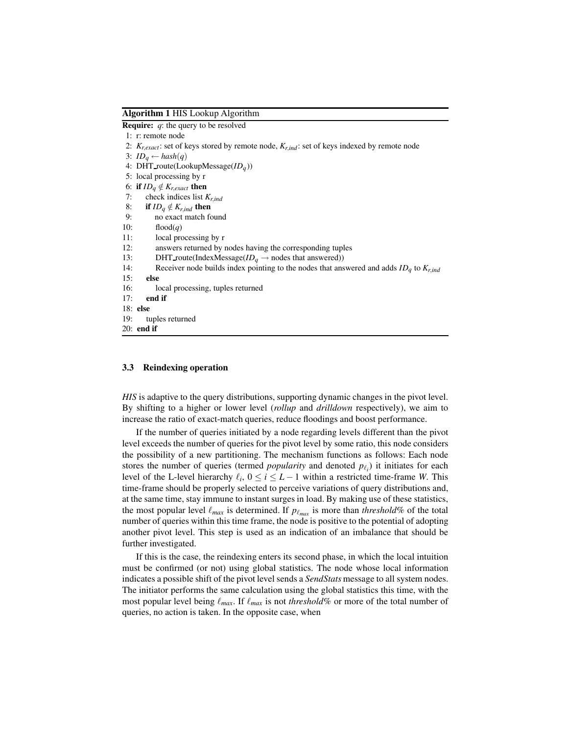#### Algorithm 1 HIS Lookup Algorithm

**Require:** *q*: the query to be resolved

1: r: remote node

- 2: *Kr*,*exact*: set of keys stored by remote node, *Kr*,*ind*: set of keys indexed by remote node
- 3:  $ID_q \leftarrow hash(q)$

4: DHT route(LookupMessage(*IDq*))

- 5: local processing by r
- 6: **if**  $ID_q \notin K_{r,exact}$  then<br>7: check indices list *l*
- 7: check indices list *Kr*,*ind*
- 8: **if**  $ID_q \notin K_{r,ind}$  then<br>9: no exact match for
- no exact match found
- 10: flood(*q*)
- 11: local processing by r
- 12: answers returned by nodes having the corresponding tuples
- 13: DHT\_route(IndexMessage( $ID_q \rightarrow$  nodes that answered))<br>14: Receiver node builds index pointing to the nodes that ans
- Receiver node builds index pointing to the nodes that answered and adds  $ID_q$  to  $K_{r,ind}$
- 15: else
- 16: local processing, tuples returned
- 17: end if
- 18: else
- 19: tuples returned
- 20: end if

### 3.3 Reindexing operation

*HIS* is adaptive to the query distributions, supporting dynamic changes in the pivot level. By shifting to a higher or lower level (*rollup* and *drilldown* respectively), we aim to increase the ratio of exact-match queries, reduce floodings and boost performance.

If the number of queries initiated by a node regarding levels different than the pivot level exceeds the number of queries for the pivot level by some ratio, this node considers the possibility of a new partitioning. The mechanism functions as follows: Each node stores the number of queries (termed *popularity* and denoted  $p_{\ell_i}$ ) it initiates for each level of the L-level hierarchy  $\ell_i$ ,  $0 \le i \le L-1$  within a restricted time-frame *W*. This time-frame should be properly selected to perceive variations of query distributions and, at the same time, stay immune to instant surges in load. By making use of these statistics, the most popular level  $\ell_{max}$  is determined. If  $p_{\ell_{max}}$  is more than *threshold*% of the total number of queries within this time frame, the node is positive to the potential of adopting another pivot level. This step is used as an indication of an imbalance that should be further investigated.

If this is the case, the reindexing enters its second phase, in which the local intuition must be confirmed (or not) using global statistics. The node whose local information indicates a possible shift of the pivot level sends a *SendStats* message to all system nodes. The initiator performs the same calculation using the global statistics this time, with the most popular level being  $\ell_{max}$ . If  $\ell_{max}$  is not *threshold*% or more of the total number of queries, no action is taken. In the opposite case, when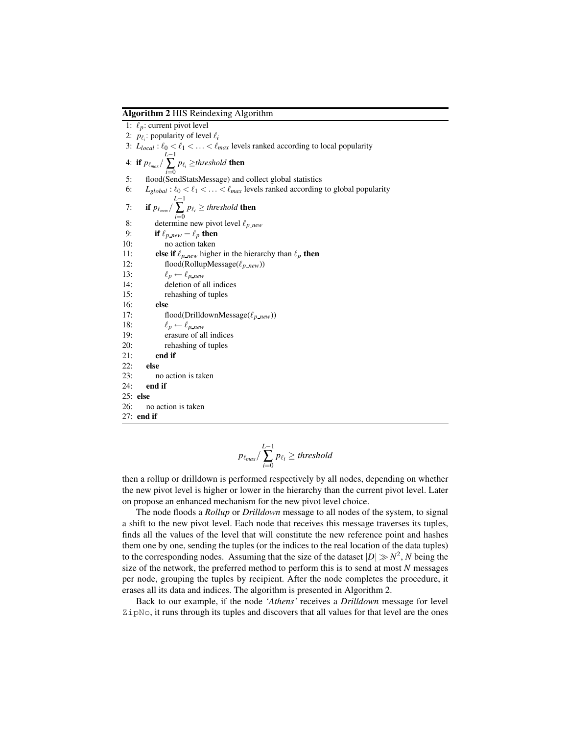# Algorithm 2 HIS Reindexing Algorithm

1:  $\ell_p$ : current pivot level 2:  $p_{\ell_i}$ : popularity of level  $\ell_i$ 3:  $L_{local}$ :  $\ell_0 < \ell_1 < \ldots < \ell_{max}$  levels ranked according to local popularity 4: **if**  $p_{\ell_{max}}/$  $\sum_{i=0}^{L-1} p_{\ell_i} ≥$ *threshold* then 5: flood(SendStatsMessage) and collect global statistics 6:  $L_{global}$ :  $\ell_0 < \ell_1 < ... < \ell_{max}$  levels ranked according to global popularity 7: **if**  $p_{\ell_{max}}/$  $\sum_{i=0}^{L-1} p_{\ell_i} ≥ \textit{threshold}$  then 8: determine new pivot level  $\ell_{p}$  *new* 9: **if**  $\ell_{p\_{new}} = \ell_p$  then 10: no action taken 11: **else if**  $\ell_{p\_{new}}$  higher in the hierarchy than  $\ell_p$  then 12: flood(RollupMessage( $\ell_{p\ \textit{new}}$ ))  $13:$  $p \leftarrow \ell_{p\_new}$ 14: deletion of all indices 15: rehashing of tuples 16: else 17: flood(DrilldownMessage( $\ell_{p\_new}$ )) 18:  $p \leftarrow \ell_{p\_new}$ 19: erasure of all indices 20: rehashing of tuples 21: end if 22: else 23: no action is taken 24: end if 25: else 26: no action is taken 27: end if

$$
p_{\ell_{max}}/\sum_{i=0}^{L-1} p_{\ell_i} \geq threshold
$$

then a rollup or drilldown is performed respectively by all nodes, depending on whether the new pivot level is higher or lower in the hierarchy than the current pivot level. Later on propose an enhanced mechanism for the new pivot level choice.

The node floods a *Rollup* or *Drilldown* message to all nodes of the system, to signal a shift to the new pivot level. Each node that receives this message traverses its tuples, finds all the values of the level that will constitute the new reference point and hashes them one by one, sending the tuples (or the indices to the real location of the data tuples) to the corresponding nodes. Assuming that the size of the dataset  $|D| \gg N^2$ , N being the size of the network, the preferred method to perform this is to send at most *N* messages per node, grouping the tuples by recipient. After the node completes the procedure, it erases all its data and indices. The algorithm is presented in Algorithm 2.

Back to our example, if the node *'Athens'* receives a *Drilldown* message for level ZipNo, it runs through its tuples and discovers that all values for that level are the ones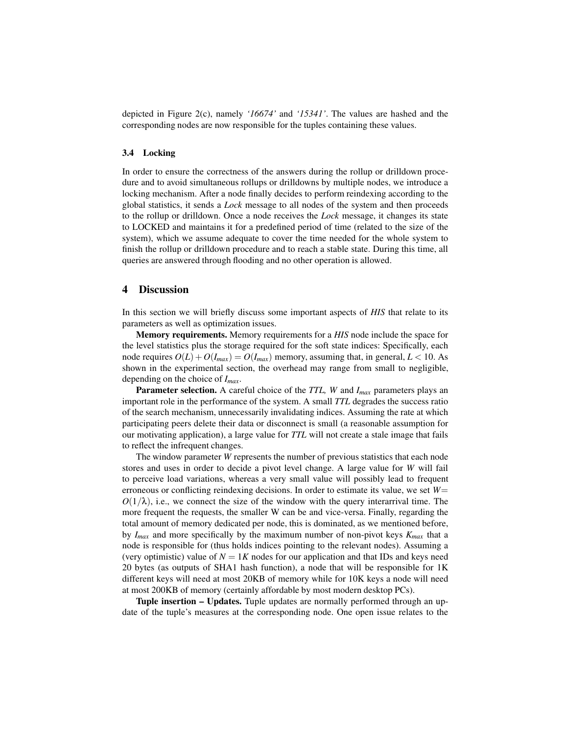depicted in Figure 2(c), namely *'16674'* and *'15341'*. The values are hashed and the corresponding nodes are now responsible for the tuples containing these values.

### 3.4 Locking

In order to ensure the correctness of the answers during the rollup or drilldown procedure and to avoid simultaneous rollups or drilldowns by multiple nodes, we introduce a locking mechanism. After a node finally decides to perform reindexing according to the global statistics, it sends a *Lock* message to all nodes of the system and then proceeds to the rollup or drilldown. Once a node receives the *Lock* message, it changes its state to LOCKED and maintains it for a predefined period of time (related to the size of the system), which we assume adequate to cover the time needed for the whole system to finish the rollup or drilldown procedure and to reach a stable state. During this time, all queries are answered through flooding and no other operation is allowed.

### 4 Discussion

In this section we will briefly discuss some important aspects of *HIS* that relate to its parameters as well as optimization issues.

Memory requirements. Memory requirements for a *HIS* node include the space for the level statistics plus the storage required for the soft state indices: Specifically, each node requires  $O(L) + O(I_{max}) = O(I_{max})$  memory, assuming that, in general,  $L < 10$ . As shown in the experimental section, the overhead may range from small to negligible, depending on the choice of *Imax*.

Parameter selection. A careful choice of the *TTL, W* and *Imax* parameters plays an important role in the performance of the system. A small *TTL* degrades the success ratio of the search mechanism, unnecessarily invalidating indices. Assuming the rate at which participating peers delete their data or disconnect is small (a reasonable assumption for our motivating application), a large value for *TTL* will not create a stale image that fails to reflect the infrequent changes.

The window parameter *W* represents the number of previous statistics that each node stores and uses in order to decide a pivot level change. A large value for *W* will fail to perceive load variations, whereas a very small value will possibly lead to frequent erroneous or conflicting reindexing decisions. In order to estimate its value, we set *W*=  $O(1/\lambda)$ , i.e., we connect the size of the window with the query interarrival time. The more frequent the requests, the smaller W can be and vice-versa. Finally, regarding the total amount of memory dedicated per node, this is dominated, as we mentioned before, by *Imax* and more specifically by the maximum number of non-pivot keys *Kmax* that a node is responsible for (thus holds indices pointing to the relevant nodes). Assuming a (very optimistic) value of  $N = 1K$  nodes for our application and that IDs and keys need 20 bytes (as outputs of SHA1 hash function), a node that will be responsible for 1K different keys will need at most 20KB of memory while for 10K keys a node will need at most 200KB of memory (certainly affordable by most modern desktop PCs).

Tuple insertion - Updates. Tuple updates are normally performed through an update of the tuple's measures at the corresponding node. One open issue relates to the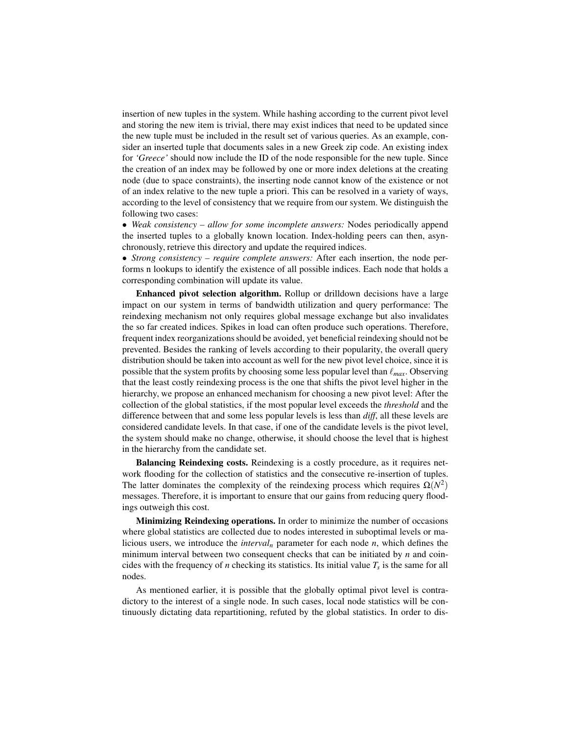insertion of new tuples in the system. While hashing according to the current pivot level and storing the new item is trivial, there may exist indices that need to be updated since the new tuple must be included in the result set of various queries. As an example, consider an inserted tuple that documents sales in a new Greek zip code. An existing index for *'Greece'* should now include the ID of the node responsible for the new tuple. Since the creation of an index may be followed by one or more index deletions at the creating node (due to space constraints), the inserting node cannot know of the existence or not of an index relative to the new tuple a priori. This can be resolved in a variety of ways, according to the level of consistency that we require from our system. We distinguish the following two cases:

• *Weak consistency – allow for some incomplete answers:* Nodes periodically append the inserted tuples to a globally known location. Index-holding peers can then, asynchronously, retrieve this directory and update the required indices.

• *Strong consistency – require complete answers:* After each insertion, the node performs n lookups to identify the existence of all possible indices. Each node that holds a corresponding combination will update its value.

Enhanced pivot selection algorithm. Rollup or drilldown decisions have a large impact on our system in terms of bandwidth utilization and query performance: The reindexing mechanism not only requires global message exchange but also invalidates the so far created indices. Spikes in load can often produce such operations. Therefore, frequent index reorganizations should be avoided, yet beneficial reindexing should not be prevented. Besides the ranking of levels according to their popularity, the overall query distribution should be taken into account as well for the new pivot level choice, since it is possible that the system profits by choosing some less popular level than  $\ell_{max}$ . Observing that the least costly reindexing process is the one that shifts the pivot level higher in the hierarchy, we propose an enhanced mechanism for choosing a new pivot level: After the collection of the global statistics, if the most popular level exceeds the *threshold* and the difference between that and some less popular levels is less than *diff*, all these levels are considered candidate levels. In that case, if one of the candidate levels is the pivot level, the system should make no change, otherwise, it should choose the level that is highest in the hierarchy from the candidate set.

**Balancing Reindexing costs.** Reindexing is a costly procedure, as it requires network flooding for the collection of statistics and the consecutive re-insertion of tuples. The latter dominates the complexity of the reindexing process which requires  $\Omega(N^2)$ messages. Therefore, it is important to ensure that our gains from reducing query floodings outweigh this cost.

Minimizing Reindexing operations. In order to minimize the number of occasions where global statistics are collected due to nodes interested in suboptimal levels or malicious users, we introduce the *interval<sub>n</sub>* parameter for each node *n*, which defines the minimum interval between two consequent checks that can be initiated by *n* and coincides with the frequency of *n* checking its statistics. Its initial value  $T_s$  is the same for all nodes.

As mentioned earlier, it is possible that the globally optimal pivot level is contradictory to the interest of a single node. In such cases, local node statistics will be continuously dictating data repartitioning, refuted by the global statistics. In order to dis-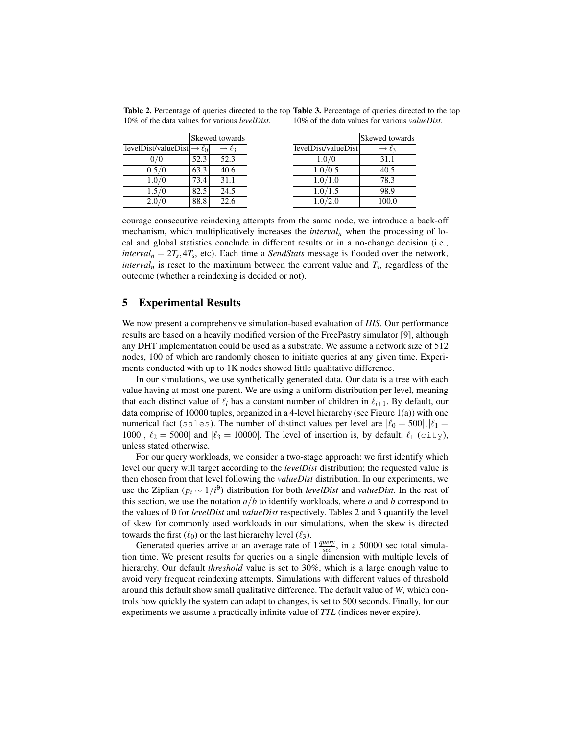|                                          | Skewed towards |                      |                     | <b>Skewed towards</b> |
|------------------------------------------|----------------|----------------------|---------------------|-----------------------|
| levelDist/valueDist $\rightarrow \ell_0$ |                | $\rightarrow \ell_3$ | levelDist/valueDist | $\rightarrow \ell_3$  |
| V/V                                      | 52.3           | 52.3                 | 1.0/0               | 31.1                  |
| 0.5/0                                    | 63.3           | 40.6                 | 1.0/0.5             | 40.5                  |
| 1.0/0                                    | 73.4           | 31.1                 | 1.0/1.0             | 78.3                  |
| 1.5/0                                    | 82.5           | 24.5                 | 1.0/1.5             | 98.9                  |
| 2.0/0                                    | 88.8           | 22.6                 | 1.0/2.0             | 100.0                 |

Table 2. Percentage of queries directed to the top Table 3. Percentage of queries directed to the top 10% of the data values for various *levelDist*. 10% of the data values for various *valueDist*.

courage consecutive reindexing attempts from the same node, we introduce a back-off mechanism, which multiplicatively increases the *interval<sub>n</sub>* when the processing of local and global statistics conclude in different results or in a no-change decision (i.e., *interval<sub>n</sub>* =  $2T_s$ , 4 $T_s$ , etc). Each time a *SendStats* message is flooded over the network, *interval<sub>n</sub>* is reset to the maximum between the current value and  $T_s$ , regardless of the outcome (whether a reindexing is decided or not).

# 5 Experimental Results

We now present a comprehensive simulation-based evaluation of *HIS*. Our performance results are based on a heavily modified version of the FreePastry simulator [9], although any DHT implementation could be used as a substrate. We assume a network size of 512 nodes, 100 of which are randomly chosen to initiate queries at any given time. Experiments conducted with up to 1K nodes showed little qualitative difference.

In our simulations, we use synthetically generated data. Our data is a tree with each value having at most one parent. We are using a uniform distribution per level, meaning that each distinct value of  $\ell_i$  has a constant number of children in  $\ell_{i+1}$ . By default, our data comprise of 10000 tuples, organized in a 4-level hierarchy (see Figure 1(a)) with one numerical fact (sales). The number of distinct values per level are  $|\ell_0 = 500|, |\ell_1 =$ 1000|,  $|\ell_2 = 5000|$  and  $|\ell_3 = 10000|$ . The level of insertion is, by default,  $\ell_1$  (city), unless stated otherwise.

For our query workloads, we consider a two-stage approach: we first identify which level our query will target according to the *levelDist* distribution; the requested value is then chosen from that level following the *valueDist* distribution. In our experiments, we use the Zipfian ( $p_i \sim 1/i^{\theta}$ ) distribution for both *levelDist* and *valueDist*. In the rest of this section, we use the notation  $a/b$  to identify workloads, where *a* and *b* correspond to the values of θ for *levelDist* and *valueDist* respectively. Tables 2 and 3 quantify the level of skew for commonly used workloads in our simulations, when the skew is directed towards the first  $(\ell_0)$  or the last hierarchy level  $(\ell_3)$ .

Generated queries arrive at an average rate of  $1 \frac{query}{sec}$ , in a 50000 sec total simulation time. We present results for queries on a single dimension with multiple levels of hierarchy. Our default *threshold* value is set to 30%, which is a large enough value to avoid very frequent reindexing attempts. Simulations with different values of threshold around this default show small qualitative difference. The default value of *W*, which controls how quickly the system can adapt to changes, is set to 500 seconds. Finally, for our experiments we assume a practically infinite value of *TTL* (indices never expire).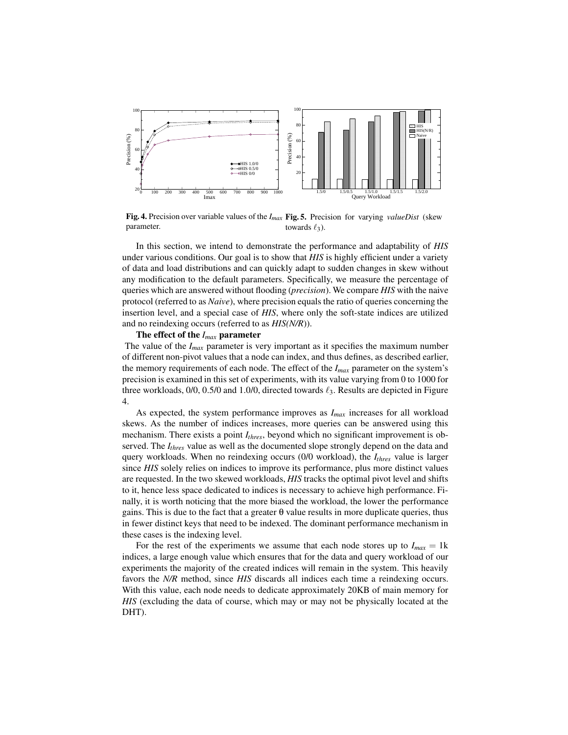

Fig. 4. Precision over variable values of the *Imax* Fig. 5. Precision for varying *valueDist* (skew parameter. towards  $\ell_3$ ).

In this section, we intend to demonstrate the performance and adaptability of *HIS* under various conditions. Our goal is to show that *HIS* is highly efficient under a variety of data and load distributions and can quickly adapt to sudden changes in skew without any modification to the default parameters. Specifically, we measure the percentage of queries which are answered without flooding (*precision*). We compare *HIS* with the naive protocol (referred to as *Naive*), where precision equals the ratio of queries concerning the insertion level, and a special case of *HIS*, where only the soft-state indices are utilized and no reindexing occurs (referred to as *HIS(N/R*)).

#### The effect of the *Imax* parameter

The value of the *Imax* parameter is very important as it specifies the maximum number of different non-pivot values that a node can index, and thus defines, as described earlier, the memory requirements of each node. The effect of the *Imax* parameter on the system's precision is examined in this set of experiments, with its value varying from 0 to 1000 for three workloads,  $0/0$ ,  $0.5/0$  and  $1.0/0$ , directed towards  $\ell_3$ . Results are depicted in Figure 4.

As expected, the system performance improves as *Imax* increases for all workload skews. As the number of indices increases, more queries can be answered using this mechanism. There exists a point *Ithres*, beyond which no significant improvement is observed. The *Ithres* value as well as the documented slope strongly depend on the data and query workloads. When no reindexing occurs (0/0 workload), the *Ithres* value is larger since *HIS* solely relies on indices to improve its performance, plus more distinct values are requested. In the two skewed workloads, *HIS* tracks the optimal pivot level and shifts to it, hence less space dedicated to indices is necessary to achieve high performance. Finally, it is worth noticing that the more biased the workload, the lower the performance gains. This is due to the fact that a greater  $\theta$  value results in more duplicate queries, thus in fewer distinct keys that need to be indexed. The dominant performance mechanism in these cases is the indexing level.

For the rest of the experiments we assume that each node stores up to  $I_{max} = 1$ k indices, a large enough value which ensures that for the data and query workload of our experiments the majority of the created indices will remain in the system. This heavily favors the *N/R* method, since *HIS* discards all indices each time a reindexing occurs. With this value, each node needs to dedicate approximately 20KB of main memory for *HIS* (excluding the data of course, which may or may not be physically located at the DHT).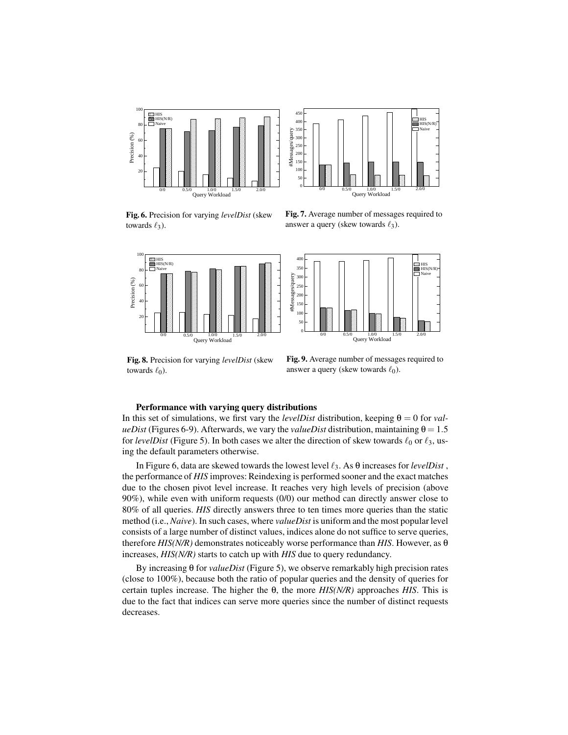



Fig. 6. Precision for varying *levelDist* (skew towards  $\ell_3$ ).



Fig. 8. Precision for varying *levelDist* (skew towards  $\ell_0$ ).

Fig. 7. Average number of messages required to answer a query (skew towards  $\ell_3$ ).



Fig. 9. Average number of messages required to answer a query (skew towards  $\ell_0$ ).

### Performance with varying query distributions

In this set of simulations, we first vary the *levelDist* distribution, keeping  $\theta = 0$  for *valueDist* (Figures 6-9). Afterwards, we vary the *valueDist* distribution, maintaining  $\theta = 1.5$ for *levelDist* (Figure 5). In both cases we alter the direction of skew towards  $\ell_0$  or  $\ell_3$ , using the default parameters otherwise.

In Figure 6, data are skewed towards the lowest level  $\ell_3$ . As  $\theta$  increases for *levelDist*, the performance of *HIS* improves: Reindexing is performed sooner and the exact matches due to the chosen pivot level increase. It reaches very high levels of precision (above 90%), while even with uniform requests (0/0) our method can directly answer close to 80% of all queries. *HIS* directly answers three to ten times more queries than the static method (i.e., *Naive*). In such cases, where *valueDist* is uniform and the most popular level consists of a large number of distinct values, indices alone do not suffice to serve queries, therefore *HIS(N/R)* demonstrates noticeably worse performance than *HIS*. However, as θ increases, *HIS(N/R)* starts to catch up with *HIS* due to query redundancy.

By increasing θ for *valueDist* (Figure 5), we observe remarkably high precision rates (close to 100%), because both the ratio of popular queries and the density of queries for certain tuples increase. The higher the θ, the more *HIS(N/R)* approaches *HIS*. This is due to the fact that indices can serve more queries since the number of distinct requests decreases.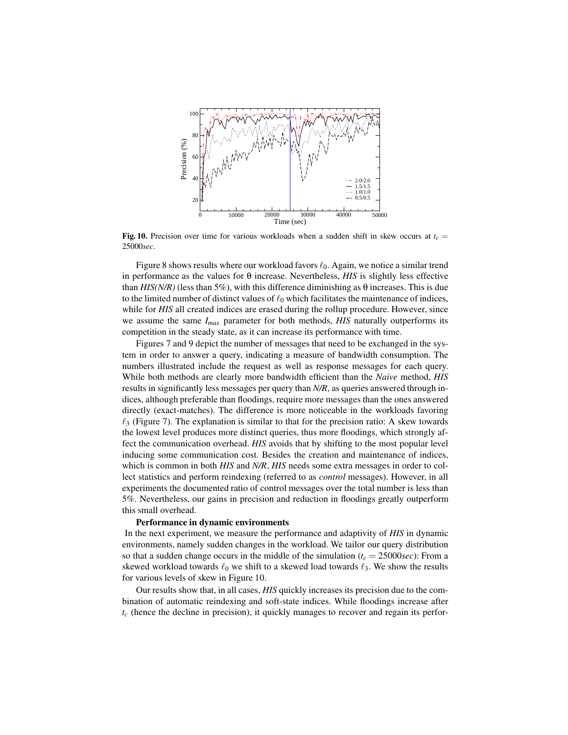

Fig. 10. Precision over time for various workloads when a sudden shift in skew occurs at  $t_c$  = 25000*sec*.

Figure 8 shows results where our workload favors  $\ell_0$ . Again, we notice a similar trend in performance as the values for θ increase. Nevertheless, *HIS* is slightly less effective than  $HIS(N/R)$  (less than 5%), with this difference diminishing as  $\theta$  increases. This is due to the limited number of distinct values of  $\ell_0$  which facilitates the maintenance of indices, while for *HIS* all created indices are erased during the rollup procedure. However, since we assume the same *Imax* parameter for both methods, *HIS* naturally outperforms its competition in the steady state, as it can increase its performance with time.

Figures 7 and 9 depict the number of messages that need to be exchanged in the system in order to answer a query, indicating a measure of bandwidth consumption. The numbers illustrated include the request as well as response messages for each query. While both methods are clearly more bandwidth efficient than the *Naive* method, *HIS* results in significantly less messages per query than *N/R*, as queries answered through indices, although preferable than floodings, require more messages than the ones answered directly (exact-matches). The difference is more noticeable in the workloads favoring  $\ell_3$  (Figure 7). The explanation is similar to that for the precision ratio: A skew towards the lowest level produces more distinct queries, thus more floodings, which strongly affect the communication overhead. *HIS* avoids that by shifting to the most popular level inducing some communication cost. Besides the creation and maintenance of indices, which is common in both *HIS* and *N/R*, *HIS* needs some extra messages in order to collect statistics and perform reindexing (referred to as *control* messages). However, in all experiments the documented ratio of control messages over the total number is less than 5%. Nevertheless, our gains in precision and reduction in floodings greatly outperform this small overhead.

#### Performance in dynamic environments

In the next experiment, we measure the performance and adaptivity of *HIS* in dynamic environments, namely sudden changes in the workload. We tailor our query distribution so that a sudden change occurs in the middle of the simulation  $(t_c = 25000sec)$ : From a skewed workload towards  $\ell_0$  we shift to a skewed load towards  $\ell_3$ . We show the results for various levels of skew in Figure 10.

Our results show that, in all cases, *HIS* quickly increases its precision due to the combination of automatic reindexing and soft-state indices. While floodings increase after  $t_c$  (hence the decline in precision), it quickly manages to recover and regain its perfor-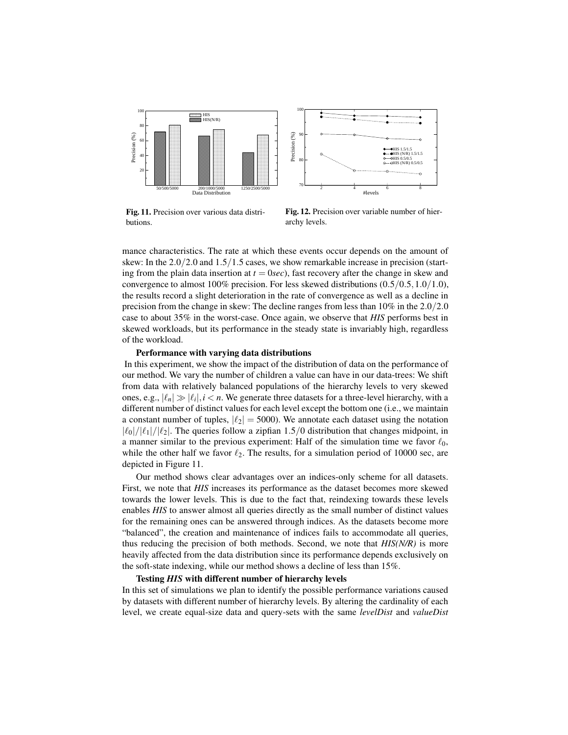



Fig. 11. Precision over various data distributions.

Fig. 12. Precision over variable number of hierarchy levels.

mance characteristics. The rate at which these events occur depends on the amount of skew: In the 2.0/2.0 and 1.5/1.5 cases, we show remarkable increase in precision (starting from the plain data insertion at  $t = 0$ *sec*), fast recovery after the change in skew and convergence to almost 100% precision. For less skewed distributions  $(0.5/0.5, 1.0/1.0)$ , the results record a slight deterioration in the rate of convergence as well as a decline in precision from the change in skew: The decline ranges from less than 10% in the 2.0/2.0 case to about 35% in the worst-case. Once again, we observe that *HIS* performs best in skewed workloads, but its performance in the steady state is invariably high, regardless of the workload.

#### Performance with varying data distributions

In this experiment, we show the impact of the distribution of data on the performance of our method. We vary the number of children a value can have in our data-trees: We shift from data with relatively balanced populations of the hierarchy levels to very skewed ones, e.g.,  $|\ell_n| \gg |\ell_i|, i < n$ . We generate three datasets for a three-level hierarchy, with a different number of distinct values for each level except the bottom one (i.e., we maintain a constant number of tuples,  $|\ell_2| = 5000$ ). We annotate each dataset using the notation  $|\ell_0|/|\ell_1|/|\ell_2|$ . The queries follow a zipfian 1.5/0 distribution that changes midpoint, in a manner similar to the previous experiment: Half of the simulation time we favor  $\ell_0$ , while the other half we favor  $\ell_2$ . The results, for a simulation period of 10000 sec, are depicted in Figure 11.

Our method shows clear advantages over an indices-only scheme for all datasets. First, we note that *HIS* increases its performance as the dataset becomes more skewed towards the lower levels. This is due to the fact that, reindexing towards these levels enables *HIS* to answer almost all queries directly as the small number of distinct values for the remaining ones can be answered through indices. As the datasets become more "balanced", the creation and maintenance of indices fails to accommodate all queries, thus reducing the precision of both methods. Second, we note that *HIS(N/R)* is more heavily affected from the data distribution since its performance depends exclusively on the soft-state indexing, while our method shows a decline of less than 15%.

#### Testing *HIS* with different number of hierarchy levels

In this set of simulations we plan to identify the possible performance variations caused by datasets with different number of hierarchy levels. By altering the cardinality of each level, we create equal-size data and query-sets with the same *levelDist* and *valueDist*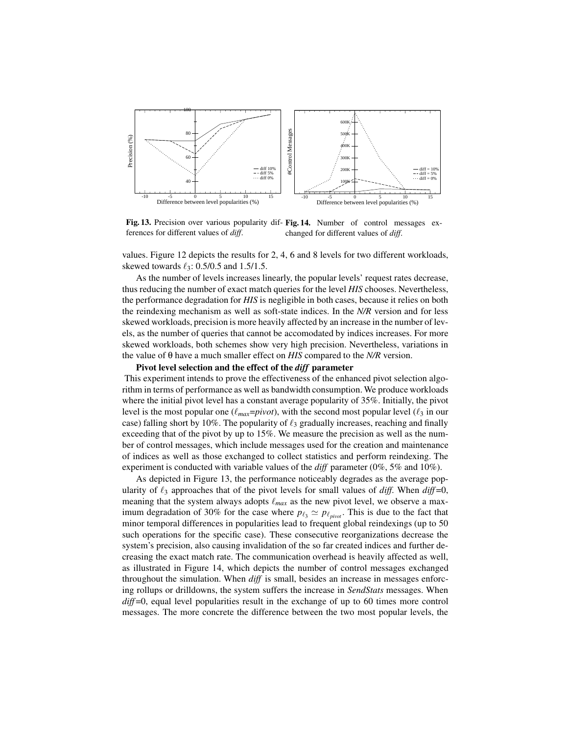

Fig. 13. Precision over various popularity dif- Fig. 14. Number of control messages exferences for different values of *diff*. changed for different values of *diff*.

values. Figure 12 depicts the results for 2, 4, 6 and 8 levels for two different workloads, skewed towards  $\ell_3$ : 0.5/0.5 and 1.5/1.5.

As the number of levels increases linearly, the popular levels' request rates decrease, thus reducing the number of exact match queries for the level *HIS* chooses. Nevertheless, the performance degradation for *HIS* is negligible in both cases, because it relies on both the reindexing mechanism as well as soft-state indices. In the *N/R* version and for less skewed workloads, precision is more heavily affected by an increase in the number of levels, as the number of queries that cannot be accomodated by indices increases. For more skewed workloads, both schemes show very high precision. Nevertheless, variations in the value of θ have a much smaller effect on *HIS* compared to the *N/R* version.

### Pivot level selection and the effect of the *diff* parameter

This experiment intends to prove the effectiveness of the enhanced pivot selection algorithm in terms of performance as well as bandwidth consumption. We produce workloads where the initial pivot level has a constant average popularity of 35%. Initially, the pivot level is the most popular one ( $\ell_{max}$ = $pivot$ ), with the second most popular level ( $\ell_3$  in our case) falling short by 10%. The popularity of  $\ell_3$  gradually increases, reaching and finally exceeding that of the pivot by up to 15%. We measure the precision as well as the number of control messages, which include messages used for the creation and maintenance of indices as well as those exchanged to collect statistics and perform reindexing. The experiment is conducted with variable values of the *diff* parameter (0%, 5% and 10%).

As depicted in Figure 13, the performance noticeably degrades as the average popularity of  $\ell_3$  approaches that of the pivot levels for small values of  $diff$ . When  $diff=0$ , meaning that the system always adopts  $\ell_{max}$  as the new pivot level, we observe a maximum degradation of 30% for the case where  $p_{\ell_3} \simeq p_{\ell_{pivot}}$ . This is due to the fact that minor temporal differences in popularities lead to frequent global reindexings (up to 50 such operations for the specific case). These consecutive reorganizations decrease the system's precision, also causing invalidation of the so far created indices and further decreasing the exact match rate. The communication overhead is heavily affected as well, as illustrated in Figure 14, which depicts the number of control messages exchanged throughout the simulation. When *diff* is small, besides an increase in messages enforcing rollups or drilldowns, the system suffers the increase in *SendStats* messages. When *diff* =0, equal level popularities result in the exchange of up to 60 times more control messages. The more concrete the difference between the two most popular levels, the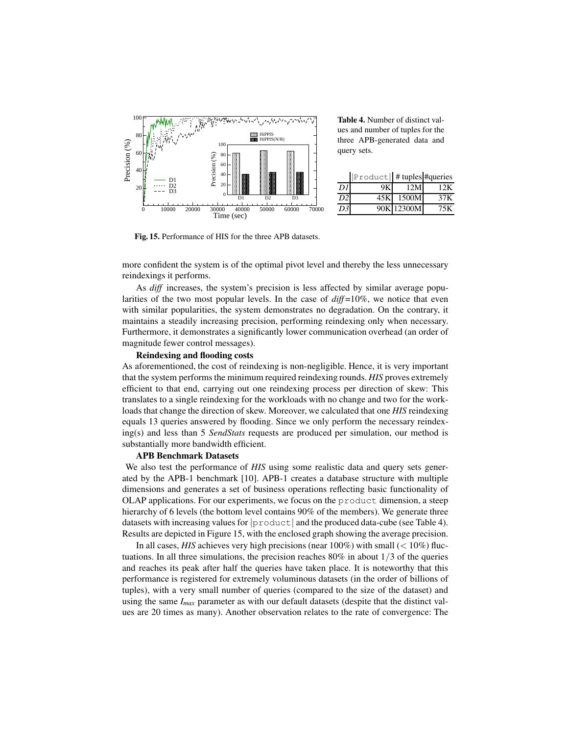

Table 4. Number of distinct values and number of tuples for the three APB-generated data and query sets.

|    | $ $ Product $ $ # tuples #queries |            |      |
|----|-----------------------------------|------------|------|
| D1 | 9KI                               | 12M        | 12K  |
| D2 |                                   | 45K 1500M  | 37 K |
| D3 |                                   | 90K 12300M | 75K  |

Fig. 15. Performance of HIS for the three APB datasets.

more confident the system is of the optimal pivot level and thereby the less unnecessary reindexings it performs.

As *diff* increases, the system's precision is less affected by similar average popularities of the two most popular levels. In the case of  $diff=10\%$ , we notice that even with similar popularities, the system demonstrates no degradation. On the contrary, it maintains a steadily increasing precision, performing reindexing only when necessary. Furthermore, it demonstrates a significantly lower communication overhead (an order of magnitude fewer control messages).

#### Reindexing and flooding costs

As aforementioned, the cost of reindexing is non-negligible. Hence, it is very important that the system performs the minimum required reindexing rounds. *HIS* proves extremely efficient to that end, carrying out one reindexing process per direction of skew: This translates to a single reindexing for the workloads with no change and two for the workloads that change the direction of skew. Moreover, we calculated that one *HIS* reindexing equals 13 queries answered by flooding. Since we only perform the necessary reindexing(s) and less than 5 *SendStats* requests are produced per simulation, our method is substantially more bandwidth efficient.

#### APB Benchmark Datasets

We also test the performance of *HIS* using some realistic data and query sets generated by the APB-1 benchmark [10]. APB-1 creates a database structure with multiple dimensions and generates a set of business operations reflecting basic functionality of OLAP applications. For our experiments, we focus on the product dimension, a steep hierarchy of 6 levels (the bottom level contains 90% of the members). We generate three datasets with increasing values for  $|product|$  and the produced data-cube (see Table 4). Results are depicted in Figure 15, with the enclosed graph showing the average precision.

In all cases,  $HIS$  achieves very high precisions (near  $100\%$ ) with small ( $< 10\%$ ) fluctuations. In all three simulations, the precision reaches  $80\%$  in about  $1/3$  of the queries and reaches its peak after half the queries have taken place. It is noteworthy that this performance is registered for extremely voluminous datasets (in the order of billions of tuples), with a very small number of queries (compared to the size of the dataset) and using the same *Imax* parameter as with our default datasets (despite that the distinct values are 20 times as many). Another observation relates to the rate of convergence: The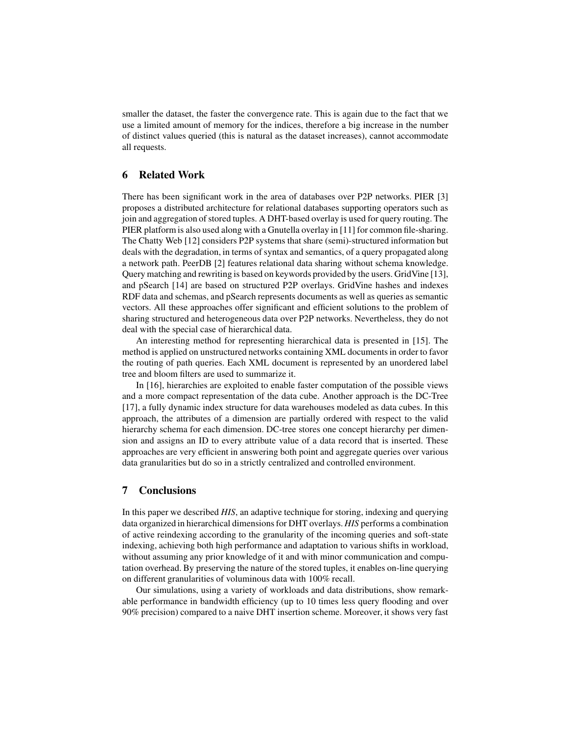smaller the dataset, the faster the convergence rate. This is again due to the fact that we use a limited amount of memory for the indices, therefore a big increase in the number of distinct values queried (this is natural as the dataset increases), cannot accommodate all requests.

# 6 Related Work

There has been significant work in the area of databases over P2P networks. PIER [3] proposes a distributed architecture for relational databases supporting operators such as join and aggregation of stored tuples. A DHT-based overlay is used for query routing. The PIER platform is also used along with a Gnutella overlay in [11] for common file-sharing. The Chatty Web [12] considers P2P systems that share (semi)-structured information but deals with the degradation, in terms of syntax and semantics, of a query propagated along a network path. PeerDB [2] features relational data sharing without schema knowledge. Query matching and rewriting is based on keywords provided by the users. GridVine [13], and pSearch [14] are based on structured P2P overlays. GridVine hashes and indexes RDF data and schemas, and pSearch represents documents as well as queries as semantic vectors. All these approaches offer significant and efficient solutions to the problem of sharing structured and heterogeneous data over P2P networks. Nevertheless, they do not deal with the special case of hierarchical data.

An interesting method for representing hierarchical data is presented in [15]. The method is applied on unstructured networks containing XML documents in order to favor the routing of path queries. Each XML document is represented by an unordered label tree and bloom filters are used to summarize it.

In [16], hierarchies are exploited to enable faster computation of the possible views and a more compact representation of the data cube. Another approach is the DC-Tree [17], a fully dynamic index structure for data warehouses modeled as data cubes. In this approach, the attributes of a dimension are partially ordered with respect to the valid hierarchy schema for each dimension. DC-tree stores one concept hierarchy per dimension and assigns an ID to every attribute value of a data record that is inserted. These approaches are very efficient in answering both point and aggregate queries over various data granularities but do so in a strictly centralized and controlled environment.

# 7 Conclusions

In this paper we described *HIS*, an adaptive technique for storing, indexing and querying data organized in hierarchical dimensions for DHT overlays. *HIS* performs a combination of active reindexing according to the granularity of the incoming queries and soft-state indexing, achieving both high performance and adaptation to various shifts in workload, without assuming any prior knowledge of it and with minor communication and computation overhead. By preserving the nature of the stored tuples, it enables on-line querying on different granularities of voluminous data with 100% recall.

Our simulations, using a variety of workloads and data distributions, show remarkable performance in bandwidth efficiency (up to 10 times less query flooding and over 90% precision) compared to a naive DHT insertion scheme. Moreover, it shows very fast